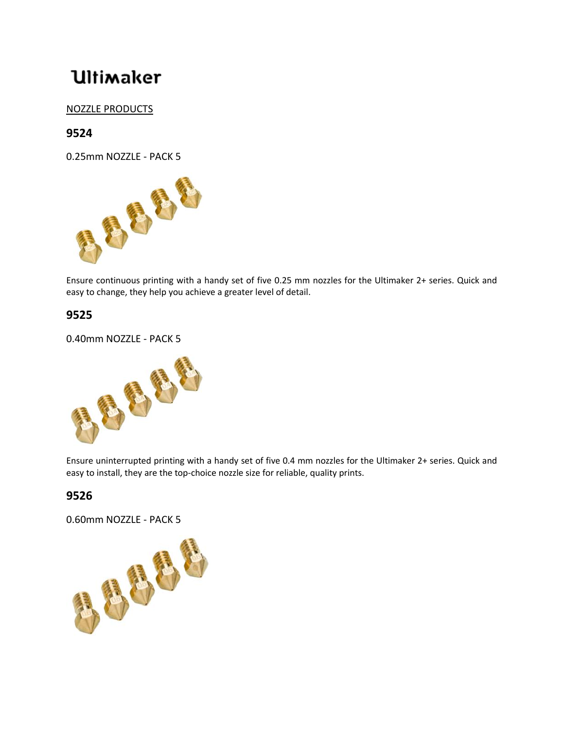# **Ultimaker**

### NOZZLE PRODUCTS

## **9524**



Ensure continuous printing with a handy set of five 0.25 mm nozzles for the Ultimaker 2+ series. Quick and easy to change, they help you achieve a greater level of detail.

#### **9525**

0.40mm NOZZLE - PACK 5



Ensure uninterrupted printing with a handy set of five 0.4 mm nozzles for the Ultimaker 2+ series. Quick and easy to install, they are the top-choice nozzle size for reliable, quality prints.

#### **9526**